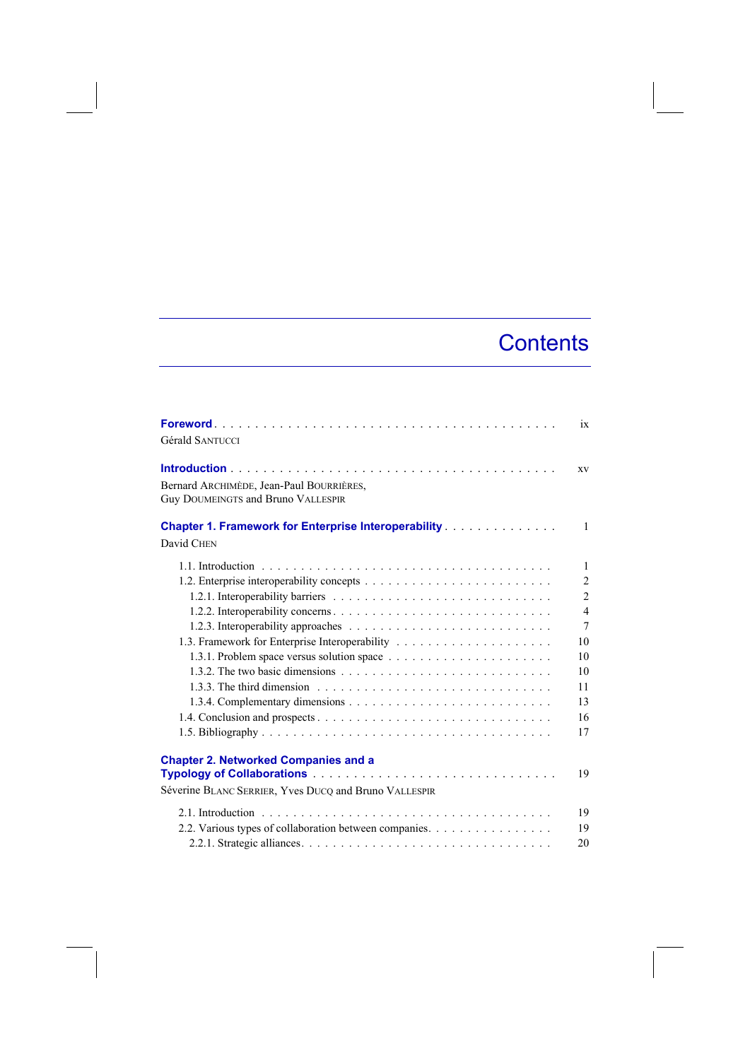## **Contents**

| <b>Gérald SANTUCCI</b>                                                                               | ix             |
|------------------------------------------------------------------------------------------------------|----------------|
| Bernard ARCHIMÈDE, Jean-Paul BOURRIÈRES,<br><b>Guy DOUMEINGTS and Bruno VALLESPIR</b>                | XV             |
| <b>Chapter 1. Framework for Enterprise Interoperability </b><br>David CHEN                           | $\mathbf{1}$   |
|                                                                                                      | $\mathbf{1}$   |
|                                                                                                      | $\overline{2}$ |
|                                                                                                      | $\overline{c}$ |
|                                                                                                      | $\overline{4}$ |
|                                                                                                      | $\overline{7}$ |
|                                                                                                      | 10             |
|                                                                                                      | 10             |
|                                                                                                      | 10             |
|                                                                                                      | 11             |
|                                                                                                      | 13             |
|                                                                                                      | 16             |
|                                                                                                      | 17             |
| <b>Chapter 2. Networked Companies and a</b><br>Séverine BLANC SERRIER, Yves DUCQ and Bruno VALLESPIR | 19             |
|                                                                                                      | 19             |
| 2.2. Various types of collaboration between companies.                                               | 19             |
|                                                                                                      | 20             |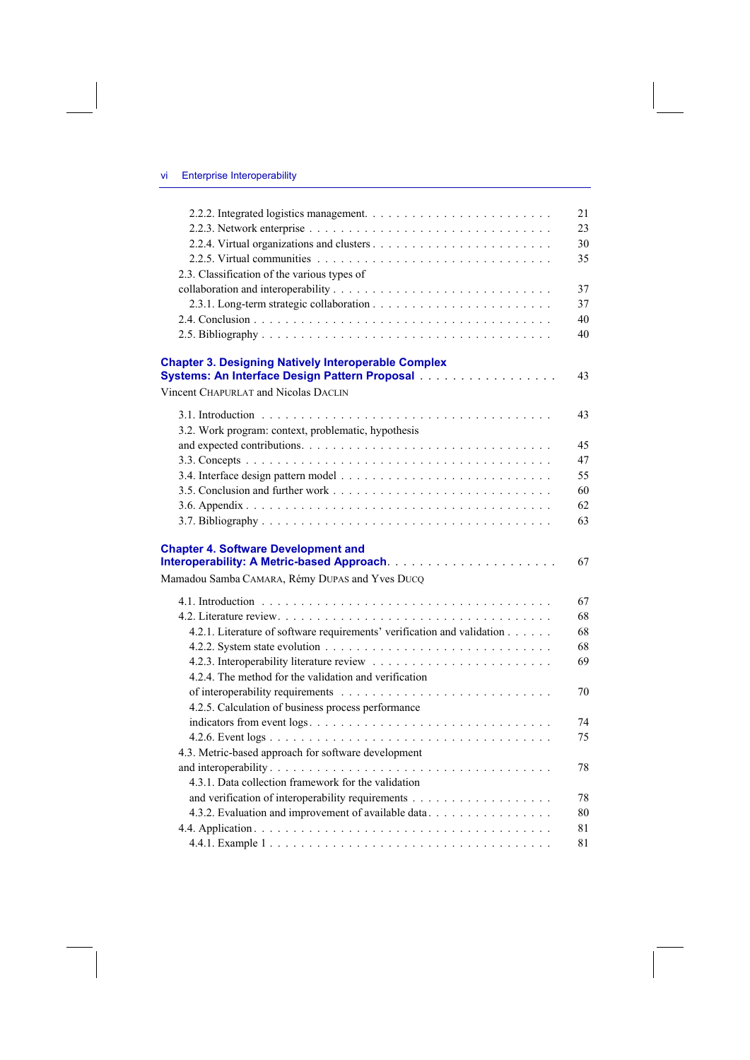|                                                                                                             | 21 |
|-------------------------------------------------------------------------------------------------------------|----|
|                                                                                                             | 23 |
|                                                                                                             | 30 |
|                                                                                                             | 35 |
| 2.3. Classification of the various types of                                                                 |    |
|                                                                                                             | 37 |
|                                                                                                             | 37 |
|                                                                                                             | 40 |
|                                                                                                             | 40 |
| <b>Chapter 3. Designing Natively Interoperable Complex</b><br>Systems: An Interface Design Pattern Proposal | 43 |
| Vincent CHAPURLAT and Nicolas DACLIN                                                                        |    |
|                                                                                                             | 43 |
| 3.2. Work program: context, problematic, hypothesis                                                         |    |
|                                                                                                             | 45 |
|                                                                                                             | 47 |
|                                                                                                             | 55 |
|                                                                                                             | 60 |
|                                                                                                             | 62 |
|                                                                                                             | 63 |
| <b>Chapter 4. Software Development and</b>                                                                  |    |
|                                                                                                             | 67 |
| Mamadou Samba CAMARA, Rémy DUPAS and Yves DUCQ                                                              |    |
|                                                                                                             | 67 |
|                                                                                                             | 68 |
| 4.2.1. Literature of software requirements' verification and validation                                     | 68 |
|                                                                                                             | 68 |
|                                                                                                             | 69 |
| 4.2.4. The method for the validation and verification                                                       |    |
|                                                                                                             | 70 |
| 4.2.5. Calculation of business process performance                                                          |    |
|                                                                                                             | 74 |
|                                                                                                             | 75 |
| 4.3. Metric-based approach for software development                                                         |    |
|                                                                                                             | 78 |
| 4.3.1. Data collection framework for the validation                                                         |    |
|                                                                                                             | 78 |
| 4.3.2. Evaluation and improvement of available data                                                         | 80 |
|                                                                                                             | 81 |
|                                                                                                             | 81 |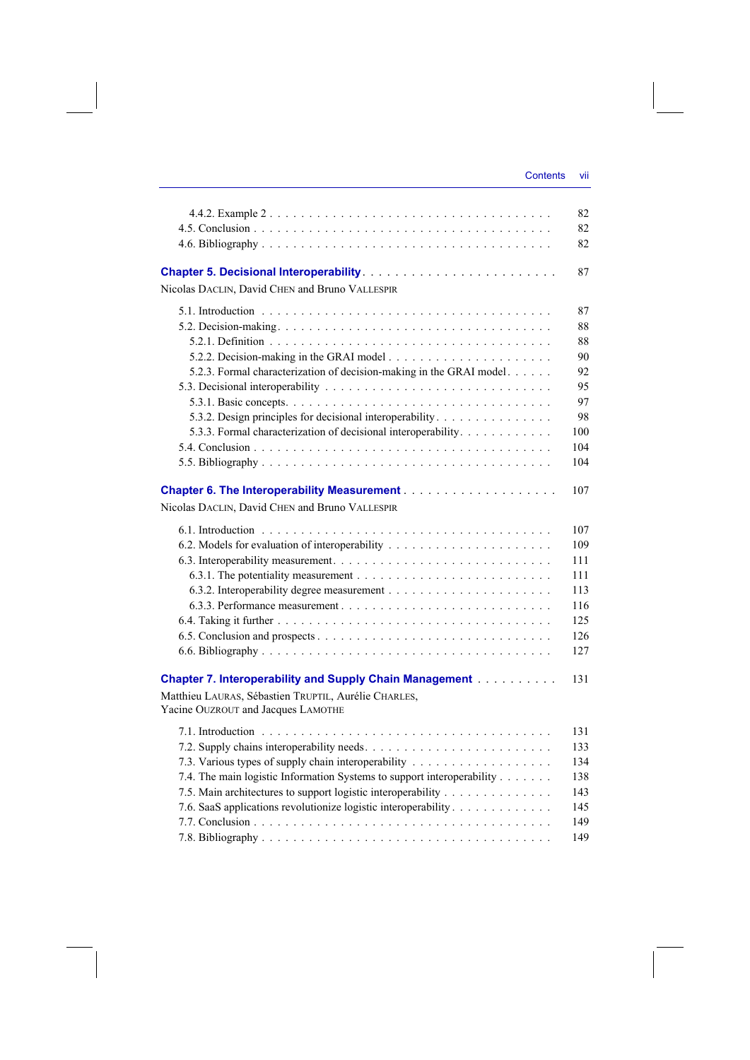|                                                                                                                       | 82       |
|-----------------------------------------------------------------------------------------------------------------------|----------|
|                                                                                                                       | 82<br>82 |
| Nicolas DACLIN, David CHEN and Bruno VALLESPIR                                                                        | 87       |
|                                                                                                                       | 87       |
|                                                                                                                       | 88       |
|                                                                                                                       | 88       |
|                                                                                                                       | 90       |
| 5.2.3. Formal characterization of decision-making in the GRAI model.                                                  | 92       |
|                                                                                                                       | 95       |
|                                                                                                                       | 97       |
| 5.3.2. Design principles for decisional interoperability.                                                             | 98       |
| 5.3.3. Formal characterization of decisional interoperability.                                                        | 100      |
|                                                                                                                       | 104      |
|                                                                                                                       | 104      |
|                                                                                                                       | 107      |
| Nicolas DACLIN, David CHEN and Bruno VALLESPIR                                                                        |          |
|                                                                                                                       | 107      |
|                                                                                                                       | 109      |
|                                                                                                                       | 111      |
|                                                                                                                       | 111      |
|                                                                                                                       | 113      |
|                                                                                                                       | 116      |
|                                                                                                                       | 125      |
|                                                                                                                       | 126      |
|                                                                                                                       | 127      |
|                                                                                                                       |          |
| <b>Chapter 7. Interoperability and Supply Chain Management Albumer 2. Albumer 2. Albumer 2. Albumer 2. Albumer 2.</b> | 131      |
| Matthieu LAURAS, Sébastien TRUPTIL, Aurélie CHARLES,                                                                  |          |
| Yacine OUZROUT and Jacques LAMOTHE                                                                                    |          |
|                                                                                                                       | 131      |
|                                                                                                                       | 133      |
|                                                                                                                       | 134      |
| 7.4. The main logistic Information Systems to support interoperability                                                | 138      |
| 7.5. Main architectures to support logistic interoperability                                                          | 143      |
| 7.6. SaaS applications revolutionize logistic interoperability                                                        | 145      |
|                                                                                                                       | 149      |
|                                                                                                                       | 149      |